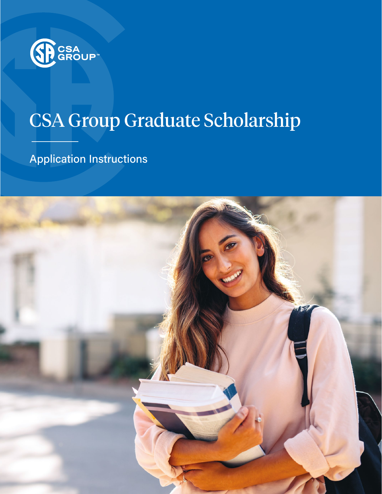

# CSA Group Graduate Scholarship

Application Instructions

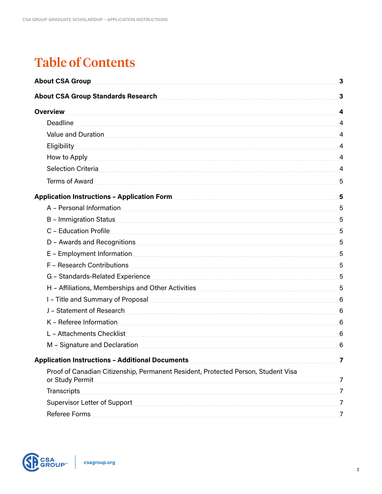## Table of Contents

| <b>About CSA Group</b>                                                                                          | $\mathbf{3}$    |
|-----------------------------------------------------------------------------------------------------------------|-----------------|
| <b>About CSA Group Standards Research</b>                                                                       | $\mathbf{3}$    |
| <b>Overview</b>                                                                                                 | 4               |
| Deadline                                                                                                        | $\overline{4}$  |
| Value and Duration                                                                                              | $\overline{4}$  |
| Eligibility 4. Alian and the set of the set of the set of the set of the set of the set of the set of the set o |                 |
| How to Apply <b>Example 20</b> How to Apply                                                                     | 4               |
| Selection Criteria 4                                                                                            |                 |
| Terms of Award                                                                                                  | 5               |
| Application Instructions - Application Form                                                                     | 5               |
| A - Personal Information                                                                                        | 5               |
| B - Immigration Status                                                                                          | 5               |
| C - Education Profile                                                                                           | 5               |
| D - Awards and Recognitions 5                                                                                   |                 |
| E - Employment Information                                                                                      | 5               |
| F - Research Contributions 5                                                                                    |                 |
| G - Standards-Related Experience                                                                                | $5\overline{)}$ |
| H - Affiliations, Memberships and Other Activities [11] Annan manuscrimum manuscrimum 5                         |                 |
| 1 - Title and Summary of Proposal and All and Summary 6                                                         |                 |
| J - Statement of Research 6                                                                                     |                 |
| K - Referee Information                                                                                         | 6               |
| L - Attachments Checklist                                                                                       |                 |
| M - Signature and Declaration                                                                                   | 6               |
| <b>Application Instructions - Additional Documents</b>                                                          | 7               |
| Proof of Canadian Citizenship, Permanent Resident, Protected Person, Student Visa<br>or Study Permit            | 7               |
| <b>Transcripts</b>                                                                                              | $\overline{7}$  |
| Supervisor Letter of Support                                                                                    | 7               |
| <b>Referee Forms</b>                                                                                            | $\overline{7}$  |

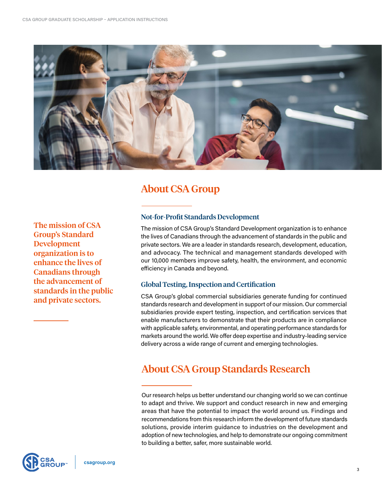<span id="page-2-0"></span>

## About CSA Group

The mission of CSA Group's Standard Development organization is to enhance the lives of Canadians through the advancement of standards in the public and private sectors.

### Not-for-Profit Standards Development

The mission of CSA Group's Standard Development organization is to enhance the lives of Canadians through the advancement of standards in the public and private sectors. We are a leader in standards research, development, education, and advocacy. The technical and management standards developed with our 10,000 members improve safety, health, the environment, and economic efficiency in Canada and beyond.

#### Global Testing, Inspection and Certification

CSA Group's global commercial subsidiaries generate funding for continued standards research and development in support of our mission. Our commercial subsidiaries provide expert testing, inspection, and certification services that enable manufacturers to demonstrate that their products are in compliance with applicable safety, environmental, and operating performance standards for markets around the world. We offer deep expertise and industry-leading service delivery across a wide range of current and emerging technologies.

## About CSA Group Standards Research

Our research helps us better understand our changing world so we can continue to adapt and thrive. We support and conduct research in new and emerging areas that have the potential to impact the world around us. Findings and recommendations from this research inform the development of future standards solutions, provide interim guidance to industries on the development and adoption of new technologies, and help to demonstrate our ongoing commitment to building a better, safer, more sustainable world.

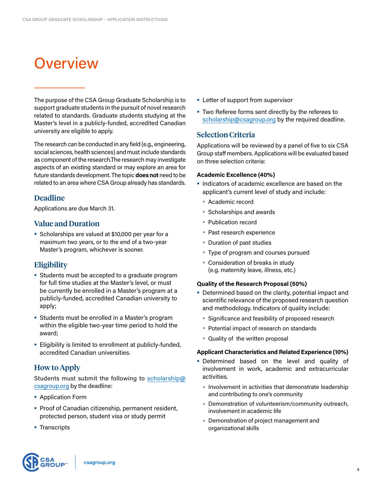## <span id="page-3-0"></span>**Overview**

The purpose of the CSA Group Graduate Scholarship is to support graduate students in the pursuit of novel research related to standards. Graduate students studying at the Master's level in a publicly-funded, accredited Canadian university are eligible to apply.

The research can be conducted in any field (e.g., engineering, social sciences, health sciences) and must include standards as component of the research.The research may investigate aspects of an existing standard or may explore an area for future standards development. The topic **does not** need to be related to an area where CSA Group already has standards.

#### Deadline

Applications are due March 31.

#### Value and Duration

**•** Scholarships are valued at \$10,000 per year for a maximum two years, or to the end of a two-year Master's program, whichever is sooner.

#### **Eligibility**

- **•** Students must be accepted to a graduate program for full time studies at the Master's level, or must be currently be enrolled in a Master's program at a publicly-funded, accredited Canadian university to apply;
- **•** Students must be enrolled in a Master's program within the eligible two-year time period to hold the award;
- **•** Eligibility is limited to enrollment at publicly-funded, accredited Canadian universities.

## How to Apply

Students must submit the following to scholarship@ csagroup.org by the deadline:

- **•** Application Form
- **•** Proof of Canadian citizenship, permanent resident, protected person, student visa or study permit
- **•** Transcripts
- **•** Letter of support from supervisor
- **•** Two Referee forms sent directly by the referees to scholarship@csagroup.org by the required deadline.

#### Selection Criteria

Applications will be reviewed by a panel of five to six CSA Group staff members. Applications will be evaluated based on three selection criteria:

#### **Academic Excellence (40%)**

- **•** Indicators of academic excellence are based on the applicant's current level of study and include:
	- **•** Academic record
	- **•** Scholarships and awards
	- **•** Publication record
	- **•** Past research experience
	- **•** Duration of past studies
	- **•** Type of program and courses pursued
	- **•** Consideration of breaks in study (e.g. maternity leave, illness, etc.)

#### **Quality of the Research Proposal (50%)**

- **•** Determined based on the clarity, potential impact and scientific relevance of the proposed research question and methodology. Indicators of quality include:
	- **•** Significance and feasibility of proposed research
	- **•** Potential impact of research on standards
	- **•** Quality of the written proposal

#### **Applicant Characteristics and Related Experience (10%)**

- **•** Determined based on the level and quality of involvement in work, academic and extracurricular activities.
	- **•** Involvement in activities that demonstrate leadership and contributing to one's community
	- **•** Demonstration of volunteerism/community outreach, involvement in academic life
	- **•** Demonstration of project management and organizational skills

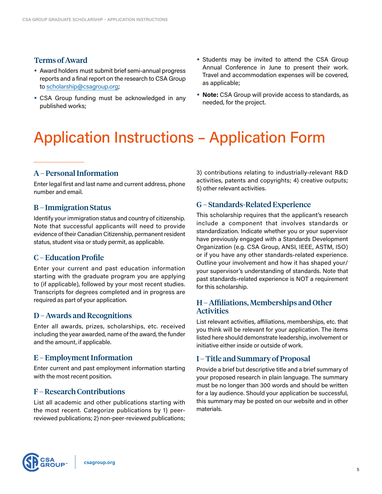### <span id="page-4-0"></span>Terms of Award

- **•** Award holders must submit brief semi-annual progress reports and a final report on the research to CSA Group to scholarship@csagroup.org;
- **•** CSA Group funding must be acknowledged in any published works;
- **•** Students may be invited to attend the CSA Group Annual Conference in June to present their work. Travel and accommodation expenses will be covered, as applicable;
- **• Note:** CSA Group will provide access to standards, as needed, for the project.

## Application Instructions – Application Form

## A – Personal Information

Enter legal first and last name and current address, phone number and email.

#### B – Immigration Status

Identify your immigration status and country of citizenship. Note that successful applicants will need to provide evidence of their Canadian Citizenship, permanent resident status, student visa or study permit, as applicable.

#### C – Education Profile

Enter your current and past education information starting with the graduate program you are applying to (if applicable), followed by your most recent studies. Transcripts for degrees completed and in progress are required as part of your application.

#### D – Awards and Recognitions

Enter all awards, prizes, scholarships, etc. received including the year awarded, name of the award, the funder and the amount, if applicable.

#### E – Employment Information

Enter current and past employment information starting with the most recent position.

#### F – Research Contributions

List all academic and other publications starting with the most recent. Categorize publications by 1) peerreviewed publications; 2) non-peer-reviewed publications; 3) contributions relating to industrially-relevant R&D activities, patents and copyrights; 4) creative outputs; 5) other relevant activities.

## G – Standards-Related Experience

This scholarship requires that the applicant's research include a component that involves standards or standardization. Indicate whether you or your supervisor have previously engaged with a Standards Development Organization (e.g. CSA Group, ANSI, IEEE, ASTM, ISO) or if you have any other standards-related experience. Outline your involvement and how it has shaped your/ your supervisor's understanding of standards. Note that past standards-related experience is NOT a requirement for this scholarship.

#### H – Affiliations, Memberships and Other **Activities**

List relevant activities, affiliations, memberships, etc. that you think will be relevant for your application. The items listed here should demonstrate leadership, involvement or initiative either inside or outside of work.

#### I – Title and Summary of Proposal

Provide a brief but descriptive title and a brief summary of your proposed research in plain language. The summary must be no longer than 300 words and should be written for a lay audience. Should your application be successful, this summary may be posted on our website and in other materials.

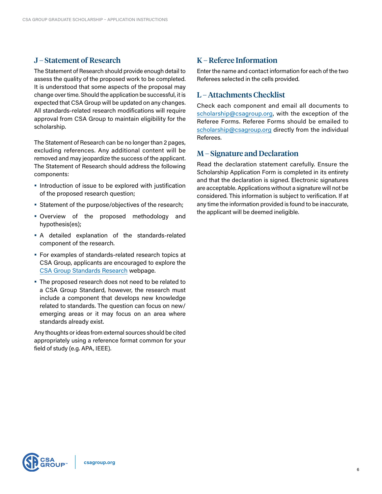### <span id="page-5-0"></span>J – Statement of Research

The Statement of Research should provide enough detail to assess the quality of the proposed work to be completed. It is understood that some aspects of the proposal may change over time. Should the application be successful, it is expected that CSA Group will be updated on any changes. All standards-related research modifications will require approval from CSA Group to maintain eligibility for the scholarship.

The Statement of Research can be no longer than 2 pages, excluding references. Any additional content will be removed and may jeopardize the success of the applicant. The Statement of Research should address the following components:

- **•** Introduction of issue to be explored with justification of the proposed research question;
- **•** Statement of the purpose/objectives of the research;
- **•** Overview of the proposed methodology and hypothesis(es);
- **•** A detailed explanation of the standards-related component of the research.
- **•** For examples of standards-related research topics at CSA Group, applicants are encouraged to explore the CSA Group Standards Research webpage.
- **•** The proposed research does not need to be related to a CSA Group Standard, however, the research must include a component that develops new knowledge related to standards. The question can focus on new/ emerging areas or it may focus on an area where standards already exist.

Any thoughts or ideas from external sources should be cited appropriately using a reference format common for your field of study (e.g. APA, IEEE).

## K – Referee Information

Enter the name and contact information for each of the two Referees selected in the cells provided.

## L – Attachments Checklist

Check each component and email all documents to scholarship@csagroup.org, with the exception of the Referee Forms. Referee Forms should be emailed to scholarship@csagroup.org directly from the individual Referees.

#### M – Signature and Declaration

Read the declaration statement carefully. Ensure the Scholarship Application Form is completed in its entirety and that the declaration is signed. Electronic signatures are acceptable. Applications without a signature will not be considered. This information is subject to verification. If at any time the information provided is found to be inaccurate, the applicant will be deemed ineligible.